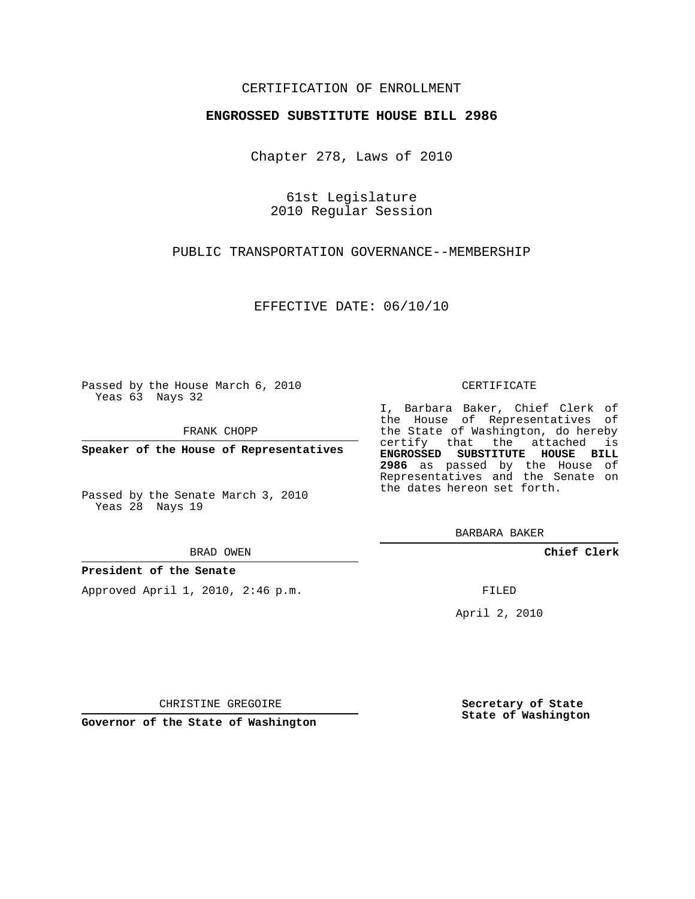# CERTIFICATION OF ENROLLMENT

## **ENGROSSED SUBSTITUTE HOUSE BILL 2986**

Chapter 278, Laws of 2010

61st Legislature 2010 Regular Session

PUBLIC TRANSPORTATION GOVERNANCE--MEMBERSHIP

EFFECTIVE DATE: 06/10/10

Passed by the House March 6, 2010 Yeas 63 Nays 32

FRANK CHOPP

**Speaker of the House of Representatives**

Passed by the Senate March 3, 2010 Yeas 28 Nays 19

BRAD OWEN

### **President of the Senate**

Approved April 1, 2010, 2:46 p.m.

#### CERTIFICATE

I, Barbara Baker, Chief Clerk of the House of Representatives of the State of Washington, do hereby certify that the attached is **ENGROSSED SUBSTITUTE HOUSE BILL 2986** as passed by the House of Representatives and the Senate on the dates hereon set forth.

BARBARA BAKER

**Chief Clerk**

FILED

April 2, 2010

**Secretary of State State of Washington**

CHRISTINE GREGOIRE

**Governor of the State of Washington**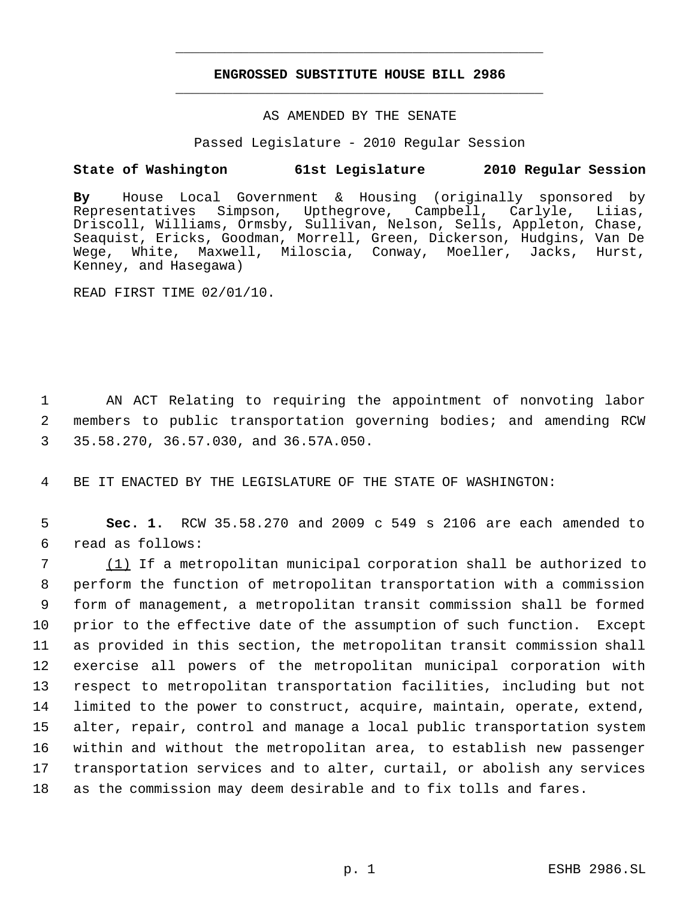# **ENGROSSED SUBSTITUTE HOUSE BILL 2986** \_\_\_\_\_\_\_\_\_\_\_\_\_\_\_\_\_\_\_\_\_\_\_\_\_\_\_\_\_\_\_\_\_\_\_\_\_\_\_\_\_\_\_\_\_

\_\_\_\_\_\_\_\_\_\_\_\_\_\_\_\_\_\_\_\_\_\_\_\_\_\_\_\_\_\_\_\_\_\_\_\_\_\_\_\_\_\_\_\_\_

## AS AMENDED BY THE SENATE

Passed Legislature - 2010 Regular Session

# **State of Washington 61st Legislature 2010 Regular Session**

**By** House Local Government & Housing (originally sponsored by Simpson, Upthegrove, Campbell, Carlyle, Liias, Driscoll, Williams, Ormsby, Sullivan, Nelson, Sells, Appleton, Chase, Seaquist, Ericks, Goodman, Morrell, Green, Dickerson, Hudgins, Van De Wege, White, Maxwell, Miloscia, Conway, Moeller, Jacks, Hurst, Kenney, and Hasegawa)

READ FIRST TIME 02/01/10.

 1 AN ACT Relating to requiring the appointment of nonvoting labor 2 members to public transportation governing bodies; and amending RCW 3 35.58.270, 36.57.030, and 36.57A.050.

4 BE IT ENACTED BY THE LEGISLATURE OF THE STATE OF WASHINGTON:

 5 **Sec. 1.** RCW 35.58.270 and 2009 c 549 s 2106 are each amended to 6 read as follows:

 (1) If a metropolitan municipal corporation shall be authorized to perform the function of metropolitan transportation with a commission form of management, a metropolitan transit commission shall be formed prior to the effective date of the assumption of such function. Except as provided in this section, the metropolitan transit commission shall exercise all powers of the metropolitan municipal corporation with respect to metropolitan transportation facilities, including but not limited to the power to construct, acquire, maintain, operate, extend, alter, repair, control and manage a local public transportation system within and without the metropolitan area, to establish new passenger transportation services and to alter, curtail, or abolish any services as the commission may deem desirable and to fix tolls and fares.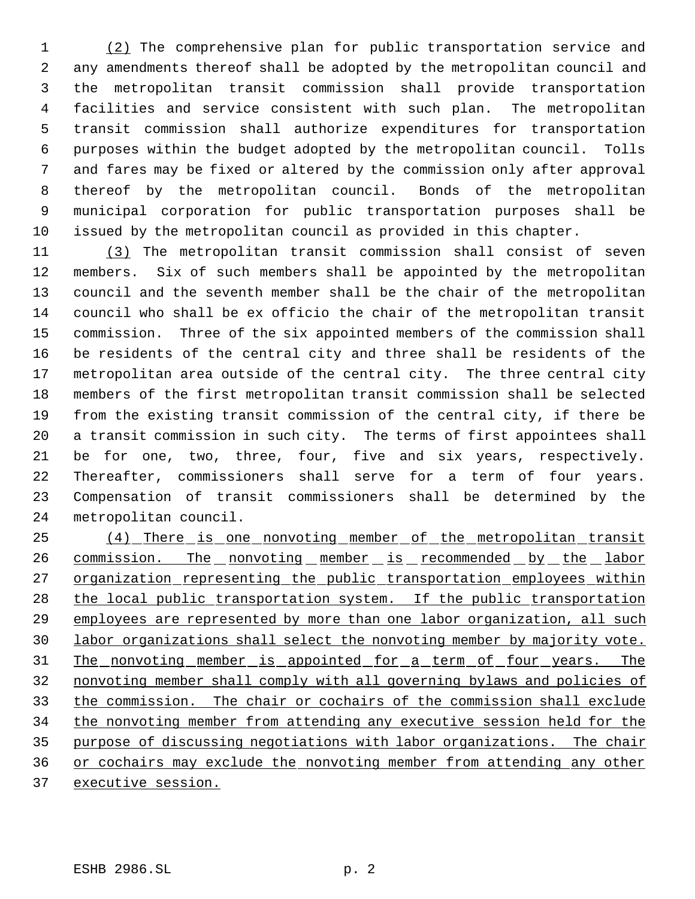(2) The comprehensive plan for public transportation service and any amendments thereof shall be adopted by the metropolitan council and the metropolitan transit commission shall provide transportation facilities and service consistent with such plan. The metropolitan transit commission shall authorize expenditures for transportation purposes within the budget adopted by the metropolitan council. Tolls and fares may be fixed or altered by the commission only after approval thereof by the metropolitan council. Bonds of the metropolitan municipal corporation for public transportation purposes shall be issued by the metropolitan council as provided in this chapter.

 (3) The metropolitan transit commission shall consist of seven members. Six of such members shall be appointed by the metropolitan council and the seventh member shall be the chair of the metropolitan council who shall be ex officio the chair of the metropolitan transit commission. Three of the six appointed members of the commission shall be residents of the central city and three shall be residents of the metropolitan area outside of the central city. The three central city members of the first metropolitan transit commission shall be selected from the existing transit commission of the central city, if there be a transit commission in such city. The terms of first appointees shall be for one, two, three, four, five and six years, respectively. Thereafter, commissioners shall serve for a term of four years. Compensation of transit commissioners shall be determined by the metropolitan council.

 (4) There is one nonvoting member of the metropolitan transit 26 commission. The nonvoting member is recommended by the labor 27 organization representing the public transportation employees within 28 the local public transportation system. If the public transportation 29 employees are represented by more than one labor organization, all such labor organizations shall select the nonvoting member by majority vote. 31 The nonvoting member is appointed for a term of four years. The nonvoting member shall comply with all governing bylaws and policies of the commission. The chair or cochairs of the commission shall exclude the nonvoting member from attending any executive session held for the purpose of discussing negotiations with labor organizations. The chair or cochairs may exclude the nonvoting member from attending any other 37 executive session.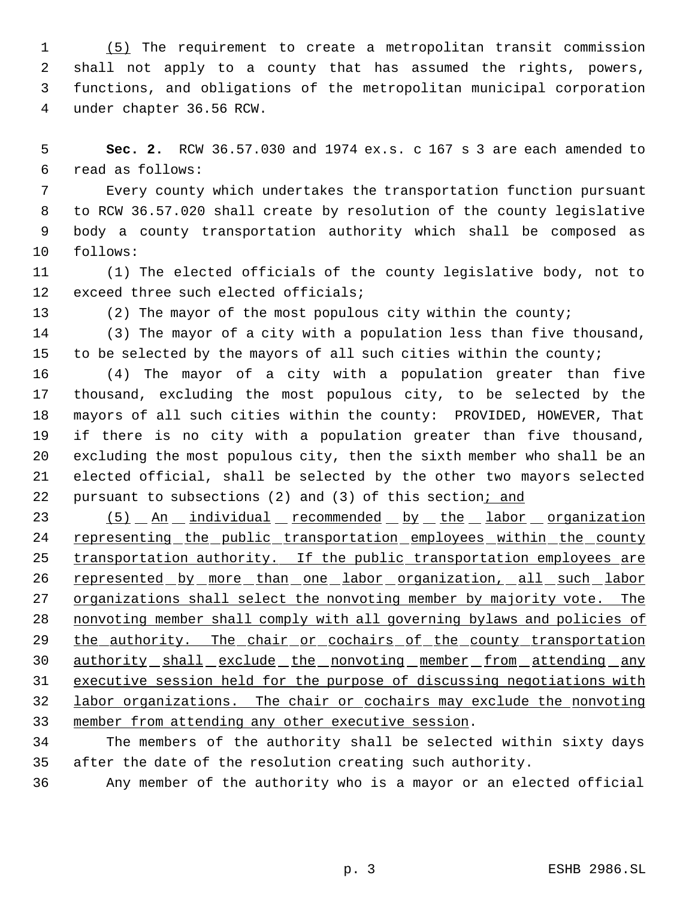(5) The requirement to create a metropolitan transit commission shall not apply to a county that has assumed the rights, powers, functions, and obligations of the metropolitan municipal corporation under chapter 36.56 RCW.

 **Sec. 2.** RCW 36.57.030 and 1974 ex.s. c 167 s 3 are each amended to read as follows:

 Every county which undertakes the transportation function pursuant to RCW 36.57.020 shall create by resolution of the county legislative body a county transportation authority which shall be composed as follows:

 (1) The elected officials of the county legislative body, not to exceed three such elected officials;

(2) The mayor of the most populous city within the county;

 (3) The mayor of a city with a population less than five thousand, 15 to be selected by the mayors of all such cities within the county;

 (4) The mayor of a city with a population greater than five thousand, excluding the most populous city, to be selected by the mayors of all such cities within the county: PROVIDED, HOWEVER, That if there is no city with a population greater than five thousand, excluding the most populous city, then the sixth member who shall be an elected official, shall be selected by the other two mayors selected 22 pursuant to subsections (2) and (3) of this section; and

23 (5) An individual recommended by the labor organization 24 representing the public transportation employees within the county 25 transportation authority. If the public transportation employees are 26 represented by more than one labor organization, all such labor 27 organizations shall select the nonvoting member by majority vote. The nonvoting member shall comply with all governing bylaws and policies of 29 the authority. The chair or cochairs of the county transportation 30 authority shall exclude the nonvoting member from attending any executive session held for the purpose of discussing negotiations with labor organizations. The chair or cochairs may exclude the nonvoting member from attending any other executive session.

 The members of the authority shall be selected within sixty days after the date of the resolution creating such authority.

Any member of the authority who is a mayor or an elected official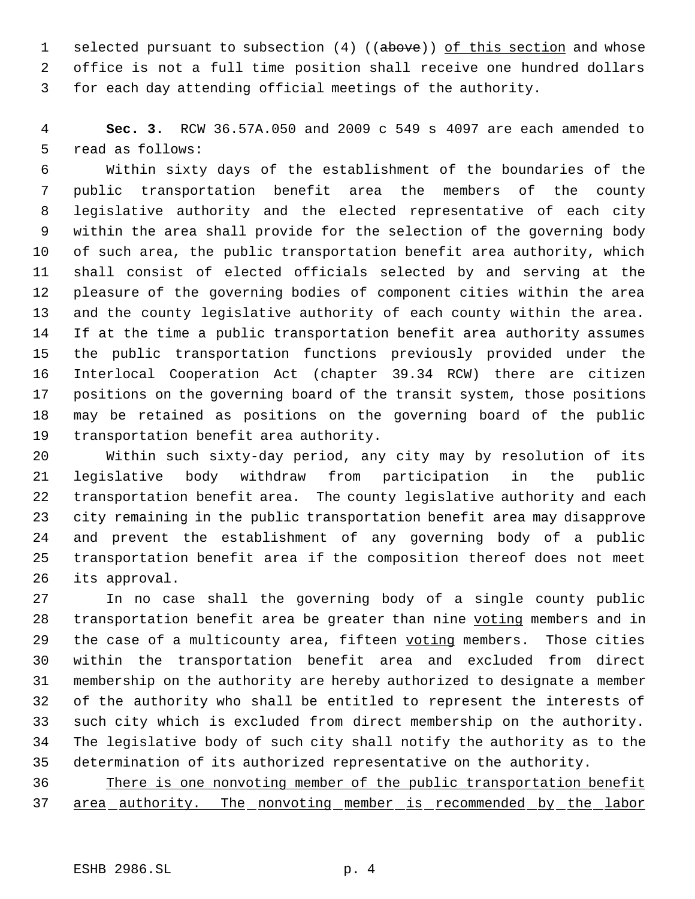1 selected pursuant to subsection (4) ((above)) of this section and whose office is not a full time position shall receive one hundred dollars for each day attending official meetings of the authority.

 **Sec. 3.** RCW 36.57A.050 and 2009 c 549 s 4097 are each amended to read as follows:

 Within sixty days of the establishment of the boundaries of the public transportation benefit area the members of the county legislative authority and the elected representative of each city within the area shall provide for the selection of the governing body of such area, the public transportation benefit area authority, which shall consist of elected officials selected by and serving at the pleasure of the governing bodies of component cities within the area and the county legislative authority of each county within the area. If at the time a public transportation benefit area authority assumes the public transportation functions previously provided under the Interlocal Cooperation Act (chapter 39.34 RCW) there are citizen positions on the governing board of the transit system, those positions may be retained as positions on the governing board of the public transportation benefit area authority.

 Within such sixty-day period, any city may by resolution of its legislative body withdraw from participation in the public transportation benefit area. The county legislative authority and each city remaining in the public transportation benefit area may disapprove and prevent the establishment of any governing body of a public transportation benefit area if the composition thereof does not meet its approval.

 In no case shall the governing body of a single county public 28 transportation benefit area be greater than nine voting members and in 29 the case of a multicounty area, fifteen voting members. Those cities within the transportation benefit area and excluded from direct membership on the authority are hereby authorized to designate a member of the authority who shall be entitled to represent the interests of such city which is excluded from direct membership on the authority. The legislative body of such city shall notify the authority as to the determination of its authorized representative on the authority.

 There is one nonvoting member of the public transportation benefit 37 area authority. The nonvoting member is recommended by the labor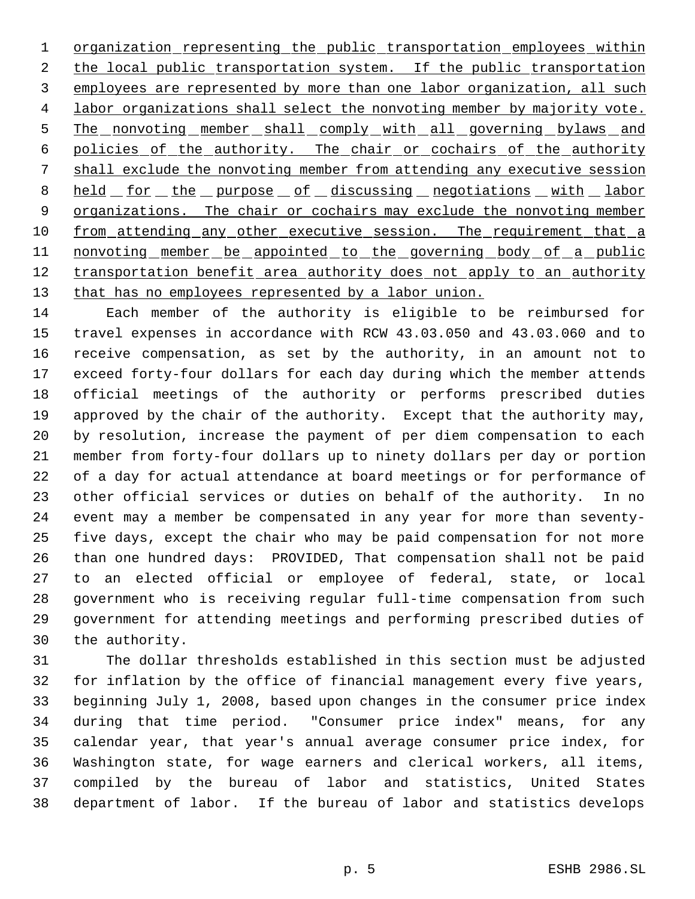1 organization representing the public transportation employees within 2 the local public transportation system. If the public transportation 3 employees are represented by more than one labor organization, all such 4 labor organizations shall select the nonvoting member by majority vote. 5 The nonvoting member shall comply with all governing bylaws and policies of the authority. The chair or cochairs of the authority shall exclude the nonvoting member from attending any executive session 8 held for the purpose of discussing negotiations with labor 9 organizations. The chair or cochairs may exclude the nonvoting member 10 from attending any other executive session. The requirement that a 11 nonvoting member be appointed to the governing body of a public 12 transportation benefit area authority does not apply to an authority 13 that has no employees represented by a labor union.

 Each member of the authority is eligible to be reimbursed for travel expenses in accordance with RCW 43.03.050 and 43.03.060 and to receive compensation, as set by the authority, in an amount not to exceed forty-four dollars for each day during which the member attends official meetings of the authority or performs prescribed duties approved by the chair of the authority. Except that the authority may, by resolution, increase the payment of per diem compensation to each member from forty-four dollars up to ninety dollars per day or portion of a day for actual attendance at board meetings or for performance of other official services or duties on behalf of the authority. In no event may a member be compensated in any year for more than seventy- five days, except the chair who may be paid compensation for not more than one hundred days: PROVIDED, That compensation shall not be paid to an elected official or employee of federal, state, or local government who is receiving regular full-time compensation from such government for attending meetings and performing prescribed duties of the authority.

 The dollar thresholds established in this section must be adjusted for inflation by the office of financial management every five years, beginning July 1, 2008, based upon changes in the consumer price index during that time period. "Consumer price index" means, for any calendar year, that year's annual average consumer price index, for Washington state, for wage earners and clerical workers, all items, compiled by the bureau of labor and statistics, United States department of labor. If the bureau of labor and statistics develops